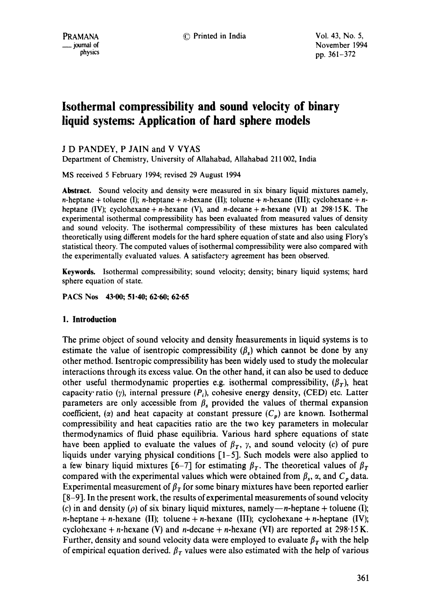November 1994 pp. 361-372

# **Isothermal compressibility and sound velocity of binary liquid systems: Application of hard sphere models**

## J D PANDEY, P JAIN and V VYAS

Department of Chemistry, University of Allahabad, Allahabad 211002, India

MS received 5 February 1994; revised 29 August 1994

**Abstract.** Sound velocity and density were measured in six binary liquid mixtures namely, n-heptane + toluene (I); n-heptane + n-hexane (II); toluene + n-hexane (III); cyclohexane + nheptane (IV); cyclohexane + n-hexane (V), and n-decane + n-hexane (VI) at 298-15 K. The experimental isothermal compressibility has been evaluated from measured values of density and sound velocity. The isothermal compressibility of these mixtures has been calculated theoretically using different models for the hard sphere equation of state and also using Flory's statistical theory. The computed values of isothermal compressibility were also compared with the experimentally evaluated values. A satisfactory agreement has been observed.

**Keywords.** Isothermal compressibility; sound velocity; density; binary liquid systems; hard sphere equation of state.

**PACS Nos 43.00; 51.40; 62-60; 62.65** 

## **1. Introduction**

The prime object of sound velocity and density measurements in liquid systems is to estimate the value of isentropic compressibility  $(\beta)$ , which cannot be done by any other method. Isentropic compressibility has been widely used to study the molecular interactions through its excess value. On the other hand, it can also be used to deduce other useful thermodynamic properties e.g. isothermal compressibility,  $(\beta_T)$ , heat capacity ratio ( $\gamma$ ), internal pressure ( $P_i$ ), cohesive energy density, (CED) etc. Latter parameters are only accessible from  $\beta_s$  provided the values of thermal expansion coefficient, (a) and heat capacity at constant pressure  $(C_p)$  are known. Isothermal compressibility and heat capacities ratio are the two key parameters in molecular thermodynamics of fluid phase equilibria. Various hard sphere equations of state have been applied to evaluate the values of  $\beta_T$ ,  $\gamma$ , and sound velocity (c) of pure liquids under varying physical conditions [1-5]. Such models were also applied to a few binary liquid mixtures [6-7] for estimating  $\beta_T$ . The theoretical values of  $\beta_T$ compared with the experimental values which were obtained from  $\beta_s$ ,  $\alpha$ , and  $C_p$  data. Experimental measurement of  $\beta<sub>T</sub>$  for some binary mixtures have been reported earlier [8-9]. In the present work, the results of experimental measurements of sound velocity (c) in and density ( $\rho$ ) of six binary liquid mixtures, namely—n-heptane + toluene (I); n-heptane + n-hexane (II); toluene + n-hexane (III); cyclohexane + n-heptane (IV); cyclohexane + *n*-hexane (V) and *n*-decane + *n*-hexane (VI) are reported at 298.15 K. Further, density and sound velocity data were employed to evaluate  $\beta<sub>T</sub>$  with the help of empirical equation derived.  $\beta_T$  values were also estimated with the help of various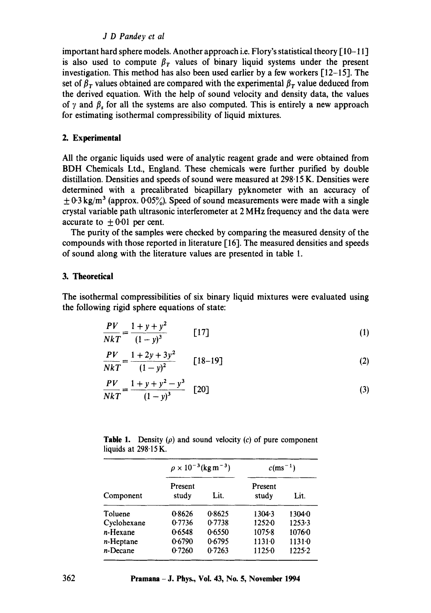## *J D Pandey et al*

important hard sphere models. Another approach i.e. Flory's statistical theory  $\lceil 10-11 \rceil$ is also used to compute  $\beta_r$  values of binary liquid systems under the present investigation. This method has also been used earlier by a few workers [12--15]. The set of  $\beta_T$  values obtained are compared with the experimental  $\beta_T$  value deduced from the derived equation. With the help of sound velocity and density data, the values of  $\gamma$  and  $\beta$ , for all the systems are also computed. This is entirely a new approach for estimating isothermal compressibility of liquid mixtures.

## **2. Experimental**

All the organic liquids used were of analytic reagent grade and were obtained from BDH Chemicals Ltd., England. These chemicals were further purified by double distillation. Densities and speeds of sound were measured at 298.15 K. Densities were determined with a precalibrated bicapillary pyknometer with an accuracy of  $\pm$  0.3 kg/m<sup>3</sup> (approx. 0.05%). Speed of sound measurements were made with a single crystal variable path ultrasonic interferometer at 2 MHz frequency and the data were accurate to  $\pm 0.01$  per cent.

The purity of the samples were checked by comparing the measured density of the compounds with those reported in literature [16]. The measured densities and speeds of sound along with the literature values are presented in table 1.

#### 3. **Theoretical**

The isothermal compressibilities of six binary liquid mixtures were evaluated using the following rigid sphere equations of state:

$$
\frac{PV}{NkT} = \frac{1 + y + y^2}{(1 - y)^3} \qquad [17]
$$
 (1)

$$
\frac{PV}{NkT} = \frac{1 + 2y + 3y^2}{(1 - y)^2} \qquad [18-19]
$$
 (2)

$$
\frac{PV}{NkT} = \frac{1 + y + y^2 - y^3}{(1 - y)^3} \quad [20]
$$
 (3)

|                         | <b>Table 1.</b> Density $(\rho)$ and sound velocity $(c)$ of pure component |  |  |  |  |
|-------------------------|-----------------------------------------------------------------------------|--|--|--|--|
| liquids at $298.15 K$ . |                                                                             |  |  |  |  |

|             |                  | $\rho \times 10^{-3}$ (kg m <sup>-3</sup> ) | $c$ (ms <sup>-1</sup> ) |            |
|-------------|------------------|---------------------------------------------|-------------------------|------------|
| Component   | Present<br>study | Lit.                                        | Present<br>study        | Lit.       |
| Toluene     | 0.8626           | 0.8625                                      | 1304.3                  | 13040      |
| Cyclohexane | 0.7736           | 0.7738                                      | 12520                   | 1253.3     |
| n-Hexane    | 0.6548           | 0.6550                                      | $1075 - 8$              | $1076 - 0$ |
| n-Heptane   | 0.6790           | 0.6795                                      | 11310                   | 11310      |
| n-Decane    | 0.7260           | 0.7263                                      | 11250                   | 1225.2     |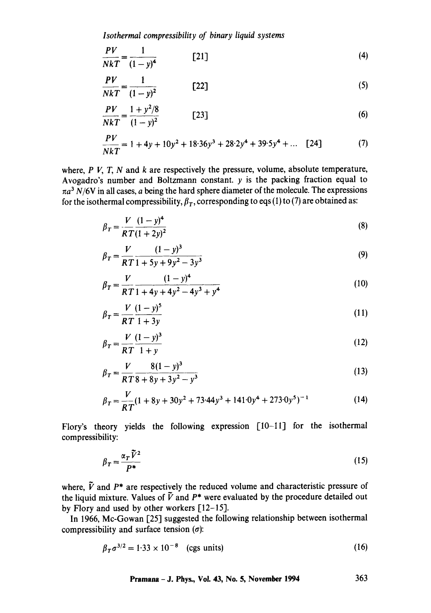*Isothermal compressibility of binary liquid systems* 

$$
\frac{PV}{NkT} = \frac{1}{(1-y)^4} \tag{4}
$$

$$
\frac{PV}{NkT} = \frac{1}{(1-y)^2}
$$
 [22] (5)

$$
\frac{PV}{NkT} = \frac{1 + y^2/8}{(1 - y)^2} \tag{6}
$$

$$
\frac{PV}{NkT} = 1 + 4y + 10y^2 + 18 \cdot 36y^3 + 28 \cdot 2y^4 + 39 \cdot 5y^4 + \dots \quad [24]
$$
 (7)

where,  $P V$ ,  $T$ ,  $N$  and  $k$  are respectively the pressure, volume, absolute temperature, Avogadro's number and Boltzmann constant,  $y$  is the packing fraction equal to  $\pi a^3$  N/6V in all cases, a being the hard sphere diameter of the molecule. The expressions for the isothermal compressibility,  $\beta_T$ , corresponding to eqs (1) to (7) are obtained as:

$$
\beta_T = \frac{V}{RT} \frac{(1-y)^4}{(1+2y)^2}
$$
\n(8)

$$
\beta_T = \frac{V}{RT} \frac{(1-y)^3}{1+5y+9y^2-3y^3}
$$
\n(9)

$$
\beta_T = \frac{V}{RT} \frac{(1-y)^4}{1+4y+4y^2-4y^3+y^4}
$$
\n(10)

$$
\beta_T = \frac{V}{RT} \frac{(1-y)^5}{1+3y} \tag{11}
$$

$$
\beta_T = \frac{V}{RT} \frac{(1-y)^3}{1+y}
$$
 (12)

$$
\beta_T = \frac{V}{RT} \frac{8(1-y)^3}{8+8y+3y^2-y^3}
$$
\n(13)

$$
\beta_T = \frac{V}{RT} (1 + 8y + 30y^2 + 73.44y^3 + 141.0y^4 + 273.0y^5)^{-1}
$$
 (14)

Flory's theory yields the following expression [10-11] for the isothermal compressibility:

$$
\beta_T = \frac{\alpha_T \tilde{V}^2}{P^*} \tag{15}
$$

where,  $\tilde{V}$  and  $P^*$  are respectively the reduced volume and characteristic pressure of the liquid mixture. Values of  $\tilde{V}$  and  $P^*$  were evaluated by the procedure detailed out by Flory and used by other workers [12-15].

In 1966, Mc-Gowan [25] suggested the following relationship between isothermal compressibility and surface tension  $(\sigma)$ :

$$
\beta_T \sigma^{3/2} = 1.33 \times 10^{-8} \quad \text{(cgs units)} \tag{16}
$$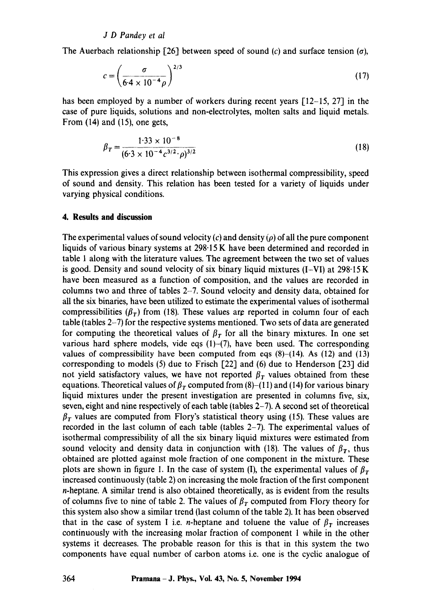### *J D Pandey et al*

The Auerbach relationship [26] between speed of sound (c) and surface tension ( $\sigma$ ),

$$
c = \left(\frac{\sigma}{6.4 \times 10^{-4} \rho}\right)^{2/3} \tag{17}
$$

has been employed by a number of workers during recent years  $[12-15, 27]$  in the case of pure liquids, solutions and non-electrolytes, molten salts and liquid metals. From (14) and (15), one gets,

$$
\beta_T = \frac{1.33 \times 10^{-8}}{(6.3 \times 10^{-4} c^{3/2} \cdot \rho)^{3/2}}
$$
(18)

This expression gives a direct relationship between isothermal compressibility, speed of sound and density. This relation has been tested for a variety of liquids under varying physical conditions.

### **4. Results and discussion**

The experimental values of sound velocity (c) and density ( $\rho$ ) of all the pure component liquids of various binary systems at 298.15 K have been determined and recorded in table 1 along with the literature values. The agreement between the two set of values is good. Density and sound velocity of six binary liquid mixtures  $(I-VI)$  at 298.15 K have been measured as a function of composition, and the values are recorded in columns two and three of tables 2--7. Sound velocity and density data, obtained for all the six binaries, have been utilized to estimate the experimental values of isothermal compressibilities  $(\beta_T)$  from (18). These values are reported in column four of each table (tables 2-7) for the respective systems mentioned. Two sets of data are generated for computing the theoretical values of  $\beta_T$  for all the binary mixtures. In one set various hard sphere models, vide eqs (1)-(7), have been used. The corresponding values of compressibility have been computed from eqs  $(8)$ - $(14)$ . As  $(12)$  and  $(13)$ corresponding to models  $(5)$  due to Frisch  $[22]$  and  $(6)$  due to Henderson  $[23]$  did not yield satisfactory values, we have not reported  $\beta_T$  values obtained from these equations. Theoretical values of  $\beta<sub>T</sub>$  computed from (8)–(11) and (14) for various binary liquid mixtures under the present investigation are presented in columns five, six, seven, eight and nine respectively of each table (tables 2-7). A second set of theoretical  $\beta_T$  values are computed from Flory's statistical theory using (15). These values are recorded in the last column of each table (tables 2-7). The experimental values of isothermal compressibility of all the six binary liquid mixtures were estimated from sound velocity and density data in conjunction with (18). The values of  $\beta_T$ , thus obtained are plotted against mole fraction of one component in the mixture. These plots are shown in figure 1. In the case of system (I), the experimental values of  $\beta_T$ increased continuously (table 2) on increasing the mole fraction of the first component n-heptane. A similar trend is also obtained theoretically, as is evident from the results of columns five to nine of table 2. The values of  $\beta_T$  computed from Flory theory for this system also show a similar trend (last column of the table 2). It has been observed that in the case of system I i.e. *n*-heptane and toluene the value of  $\beta_T$  increases continuously with the increasing molar fraction of component 1 while in the other systems it decreases. The probable reason for this is that in this system the two components have equal number of carbon atoms i.e. one is the cyclic analogue of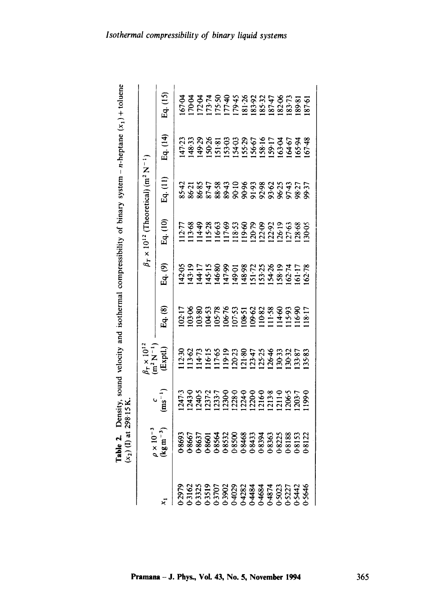| $\frac{1}{2}$<br>f binary system – n-heptane  |
|-----------------------------------------------|
|                                               |
|                                               |
| al communescribility of                       |
| v. sound velocity and isotherma-              |
| i<br>J                                        |
|                                               |
|                                               |
| i<br>í,                                       |
| Ī<br>י<br>י<br>i<br>ĺ<br>$\ddot{\phantom{0}}$ |

| $\rho \times 10^{-3}$<br>(kgm <sup>-3</sup> ) |                           |                                                                   |                                                              |                                                                    |          | $\beta_T \times 10^{12}$ (Theoretical) (m <sup>2</sup> N <sup>-1</sup> ) |          |          |
|-----------------------------------------------|---------------------------|-------------------------------------------------------------------|--------------------------------------------------------------|--------------------------------------------------------------------|----------|--------------------------------------------------------------------------|----------|----------|
|                                               | $\frac{c}{\rm (ms^{-1})}$ | $h_r \times 10^{1}$<br>m <sup>2</sup> N <sup>-1</sup><br>(Exptl.) | Eq. (8)                                                      | $\frac{1}{4}$ (9)                                                  | Eq. (10) | Eq. (11)                                                                 | Eq. (14) | 39. (15) |
|                                               |                           |                                                                   |                                                              |                                                                    |          |                                                                          |          |          |
|                                               |                           |                                                                   |                                                              |                                                                    |          |                                                                          |          |          |
|                                               |                           |                                                                   | 17883386353888887<br>178833885388888887<br>17883388999999999 | $99979885873897778$<br>$99579885873897778$<br>$995499599738997778$ |          |                                                                          |          |          |
|                                               |                           |                                                                   |                                                              |                                                                    |          |                                                                          |          |          |
|                                               |                           |                                                                   |                                                              |                                                                    |          |                                                                          |          |          |
|                                               |                           |                                                                   |                                                              |                                                                    |          |                                                                          |          |          |
|                                               |                           |                                                                   |                                                              |                                                                    |          |                                                                          |          |          |
|                                               |                           |                                                                   |                                                              |                                                                    |          |                                                                          |          |          |
|                                               |                           |                                                                   |                                                              |                                                                    |          |                                                                          |          |          |
|                                               |                           |                                                                   |                                                              |                                                                    |          |                                                                          |          |          |
|                                               |                           |                                                                   |                                                              |                                                                    |          |                                                                          |          |          |
|                                               |                           |                                                                   |                                                              |                                                                    |          |                                                                          |          |          |
|                                               |                           |                                                                   |                                                              |                                                                    |          |                                                                          |          |          |
|                                               |                           |                                                                   |                                                              |                                                                    |          |                                                                          |          |          |
|                                               |                           |                                                                   |                                                              |                                                                    |          |                                                                          |          |          |

 $365$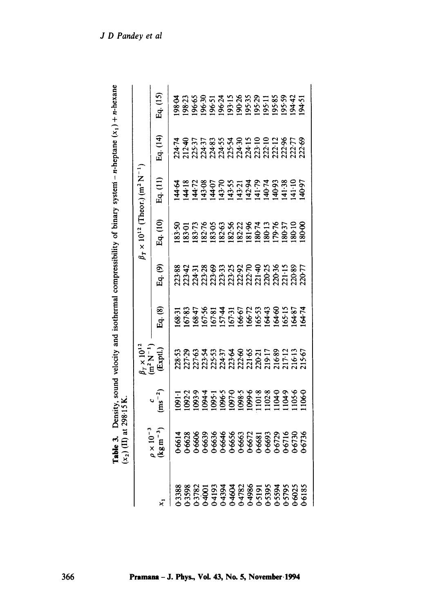| <b>Table 3.</b> Density, sound velocity and isothermal compressibility of binary system - n-heptane $(x_1) + n$ -hexa. |                               |
|------------------------------------------------------------------------------------------------------------------------|-------------------------------|
|                                                                                                                        |                               |
|                                                                                                                        |                               |
|                                                                                                                        |                               |
|                                                                                                                        |                               |
|                                                                                                                        |                               |
|                                                                                                                        |                               |
|                                                                                                                        | $(x_2)$ (iii) at $250$ is in. |
|                                                                                                                        | $\frac{1}{2}$                 |

|                                                                                                                                                                                                          |                                                                                        |                            |                                                                                                                                                  |         |         | $\beta_T \times 10^{12}$ (Theor.) (m <sup>2</sup> N <sup>-1</sup>                                                                                                                                                                                                                                   |          |          |                                   |
|----------------------------------------------------------------------------------------------------------------------------------------------------------------------------------------------------------|----------------------------------------------------------------------------------------|----------------------------|--------------------------------------------------------------------------------------------------------------------------------------------------|---------|---------|-----------------------------------------------------------------------------------------------------------------------------------------------------------------------------------------------------------------------------------------------------------------------------------------------------|----------|----------|-----------------------------------|
|                                                                                                                                                                                                          | $\rho \times 10^{-3}$<br>(kg m <sup>-3</sup> )                                         | $\frac{c}{\text{ms}^{-2}}$ | $\frac{1}{m^2}$ $\times 10^{12}$<br>$\frac{1}{m^2}$ N <sup>-1</sup>                                                                              | Eq. (8) | Eq. (9) | Eq. (10)                                                                                                                                                                                                                                                                                            | Eq. (11) | Eq. (14) | Eq. (15)                          |
| $\frac{25}{100}$<br>1998<br>1998<br>1998<br>1994<br>1994<br>1994<br>1994<br>1994<br>1994<br>1994<br>1994<br>1994<br>1994<br>1994<br>1994<br>1994<br>1994<br>1994<br>1994<br>1994<br>1994<br>1994<br>1994 |                                                                                        |                            |                                                                                                                                                  |         |         |                                                                                                                                                                                                                                                                                                     |          |          |                                   |
|                                                                                                                                                                                                          |                                                                                        |                            |                                                                                                                                                  |         |         |                                                                                                                                                                                                                                                                                                     |          |          |                                   |
|                                                                                                                                                                                                          |                                                                                        |                            |                                                                                                                                                  |         |         |                                                                                                                                                                                                                                                                                                     |          |          |                                   |
|                                                                                                                                                                                                          |                                                                                        |                            |                                                                                                                                                  |         |         |                                                                                                                                                                                                                                                                                                     |          |          |                                   |
|                                                                                                                                                                                                          |                                                                                        |                            |                                                                                                                                                  |         |         |                                                                                                                                                                                                                                                                                                     |          |          |                                   |
|                                                                                                                                                                                                          |                                                                                        |                            |                                                                                                                                                  |         |         |                                                                                                                                                                                                                                                                                                     |          |          |                                   |
|                                                                                                                                                                                                          |                                                                                        |                            |                                                                                                                                                  |         |         |                                                                                                                                                                                                                                                                                                     |          |          |                                   |
|                                                                                                                                                                                                          |                                                                                        |                            |                                                                                                                                                  |         |         |                                                                                                                                                                                                                                                                                                     |          |          |                                   |
|                                                                                                                                                                                                          |                                                                                        |                            |                                                                                                                                                  |         |         |                                                                                                                                                                                                                                                                                                     |          |          |                                   |
|                                                                                                                                                                                                          |                                                                                        |                            |                                                                                                                                                  |         |         |                                                                                                                                                                                                                                                                                                     |          |          |                                   |
|                                                                                                                                                                                                          |                                                                                        |                            |                                                                                                                                                  |         |         |                                                                                                                                                                                                                                                                                                     |          |          |                                   |
|                                                                                                                                                                                                          |                                                                                        |                            |                                                                                                                                                  |         |         |                                                                                                                                                                                                                                                                                                     |          |          |                                   |
|                                                                                                                                                                                                          |                                                                                        |                            |                                                                                                                                                  |         |         |                                                                                                                                                                                                                                                                                                     |          |          |                                   |
|                                                                                                                                                                                                          | }6614<br>}6628<br>}6635<br>}663564666663<br>}663566682<br>}663566826826926826936936838 |                            | ទាន ចុង ទុក្ក ង ខុ មុ ភូ ក ខ្លូ ក្នុង ទី<br>នាក់ កំពុំអំពី កំពុំអំពី កំពុំ កំពុំ កំពុំ កំពុំ<br>ទី កំពុំអំពី កំពុំ កំពុំ កំពុំ កំពុំ កំពុំ កំពុំ |         |         | $\begin{array}{l} 83.50 \\ 83.01 \\ 83.01 \\ 83.02 \\ 84.03 \\ 85.04 \\ 86.05 \\ 87.08 \\ 88.08 \\ 82.08 \\ 84.08 \\ 85.08 \\ 86.01 \\ 86.01 \\ 86.00 \\ 86.00 \\ 86.00 \\ 86.00 \\ 86.00 \\ 86.00 \\ 86.00 \\ 86.00 \\ 86.00 \\ 86.00 \\ 86.00 \\ 86.00 \\ 86.00 \\ 86.00 \\ 86.00 \\ 86.00 \\ 86$ |          |          | 8.8885777888977777777777777777777 |
|                                                                                                                                                                                                          |                                                                                        |                            |                                                                                                                                                  |         |         |                                                                                                                                                                                                                                                                                                     |          |          |                                   |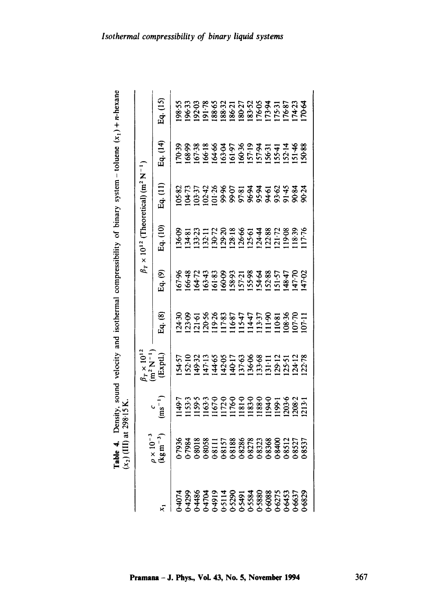| $\frac{1}{2}$ . Therefore, $\frac{1}{2}$<br>いりり こくらく こうりょう<br>$\overline{\phantom{a}}$<br>ŕ, | - אידן או |                                  |
|----------------------------------------------------------------------------------------------|-----------|----------------------------------|
|                                                                                              |           |                                  |
|                                                                                              |           |                                  |
|                                                                                              |           |                                  |
|                                                                                              |           |                                  |
|                                                                                              |           |                                  |
|                                                                                              |           | $\overline{x}$<br>$\overline{ }$ |

|                                                                                                                                                                                                                                                                                                                                                      |                                                |                                                                                                                                                                                                                                |                                                         |                                                                      |         | $\beta_T \times 10^{12}$ (Theoretical) (m <sup>2</sup> N <sup>-1</sup> ) |                                      |                                              |          |
|------------------------------------------------------------------------------------------------------------------------------------------------------------------------------------------------------------------------------------------------------------------------------------------------------------------------------------------------------|------------------------------------------------|--------------------------------------------------------------------------------------------------------------------------------------------------------------------------------------------------------------------------------|---------------------------------------------------------|----------------------------------------------------------------------|---------|--------------------------------------------------------------------------|--------------------------------------|----------------------------------------------|----------|
|                                                                                                                                                                                                                                                                                                                                                      | $\frac{\rho \times 10^{-3}}{\text{kg m}^{-3}}$ | $\begin{pmatrix} c \\ ms^{-1} \end{pmatrix}$                                                                                                                                                                                   | $r \times 10^{11}$<br>$m^2$ N <sup>-1</sup><br>(Exptl.) | Eq. (8)                                                              | Eq. (9) | Eq. (10)                                                                 | Eq. (11)                             | Eq. (14)                                     | Eq. (15) |
| $\frac{1}{2}$<br>$\frac{1}{2}$<br>$\frac{1}{2}$<br>$\frac{1}{2}$<br>$\frac{1}{2}$<br>$\frac{1}{2}$<br>$\frac{1}{2}$<br>$\frac{1}{2}$<br>$\frac{1}{2}$<br>$\frac{1}{2}$<br>$\frac{1}{2}$<br>$\frac{1}{2}$<br>$\frac{1}{2}$<br>$\frac{1}{2}$<br>$\frac{1}{2}$<br>$\frac{1}{2}$<br>$\frac{1}{2}$<br>$\frac{1}{2}$<br>$\frac{1}{2}$<br>$\frac{1}{2}$<br> |                                                |                                                                                                                                                                                                                                |                                                         |                                                                      |         |                                                                          |                                      |                                              |          |
|                                                                                                                                                                                                                                                                                                                                                      |                                                |                                                                                                                                                                                                                                |                                                         |                                                                      |         |                                                                          |                                      |                                              |          |
|                                                                                                                                                                                                                                                                                                                                                      |                                                | $149.5$ $153.5$ $153.5$ $153.5$ $153.5$ $153.5$ $153.5$ $153.5$ $153.5$ $153.5$ $153.5$ $153.5$ $153.5$ $153.5$ $153.5$ $153.5$ $153.5$ $153.5$ $153.5$ $153.5$ $153.5$ $153.5$ $153.5$ $153.5$ $153.5$ $153.5$ $153.5$ $153.$ |                                                         | 89<br>895 58885 5585 5886<br>895 58885 5588886<br>895 5885 5895 5896 |         |                                                                          | 855888688888888888888888888888888888 | 8<br>8883345585555555588<br>8883355555555555 |          |
|                                                                                                                                                                                                                                                                                                                                                      |                                                |                                                                                                                                                                                                                                |                                                         |                                                                      |         |                                                                          |                                      |                                              |          |
|                                                                                                                                                                                                                                                                                                                                                      |                                                |                                                                                                                                                                                                                                |                                                         |                                                                      |         |                                                                          |                                      |                                              |          |
|                                                                                                                                                                                                                                                                                                                                                      |                                                |                                                                                                                                                                                                                                |                                                         |                                                                      |         |                                                                          |                                      |                                              |          |
|                                                                                                                                                                                                                                                                                                                                                      |                                                |                                                                                                                                                                                                                                |                                                         |                                                                      |         |                                                                          |                                      |                                              |          |
|                                                                                                                                                                                                                                                                                                                                                      |                                                |                                                                                                                                                                                                                                |                                                         |                                                                      |         |                                                                          |                                      |                                              |          |
|                                                                                                                                                                                                                                                                                                                                                      |                                                |                                                                                                                                                                                                                                |                                                         |                                                                      |         |                                                                          |                                      |                                              |          |
|                                                                                                                                                                                                                                                                                                                                                      |                                                |                                                                                                                                                                                                                                |                                                         |                                                                      |         |                                                                          |                                      |                                              |          |
|                                                                                                                                                                                                                                                                                                                                                      |                                                |                                                                                                                                                                                                                                |                                                         |                                                                      |         |                                                                          |                                      |                                              |          |
|                                                                                                                                                                                                                                                                                                                                                      |                                                |                                                                                                                                                                                                                                |                                                         |                                                                      |         |                                                                          |                                      |                                              |          |
|                                                                                                                                                                                                                                                                                                                                                      |                                                |                                                                                                                                                                                                                                |                                                         |                                                                      |         |                                                                          |                                      |                                              |          |
|                                                                                                                                                                                                                                                                                                                                                      |                                                |                                                                                                                                                                                                                                |                                                         |                                                                      |         |                                                                          |                                      |                                              |          |
|                                                                                                                                                                                                                                                                                                                                                      |                                                |                                                                                                                                                                                                                                |                                                         |                                                                      |         |                                                                          |                                      |                                              |          |

Pramana - J. Phys., Vol. 43, No. 5, November 1994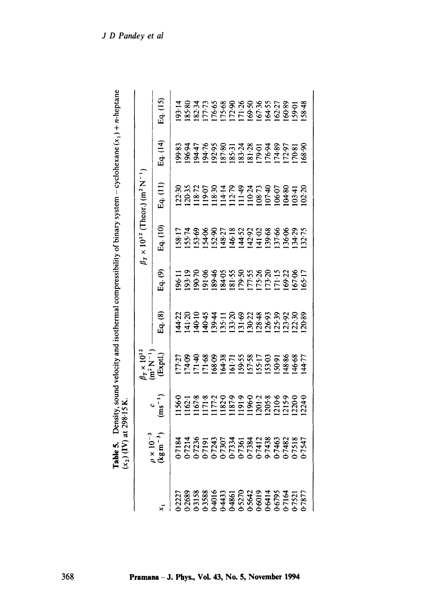| Table 5. Density, sound velocity and isothermal compressibility of binary system - cyclohexane $(x_1) + n$ -heptane<br>$(x_2)$ (IV) at 298.15 K.<br>$0 \times 10^{-3}$ |
|------------------------------------------------------------------------------------------------------------------------------------------------------------------------|
|------------------------------------------------------------------------------------------------------------------------------------------------------------------------|

| べこ フィコ コン しょう                                                                        |                                              |                                                                                           |         |                        |                                         |                                                                   |          |          |
|--------------------------------------------------------------------------------------|----------------------------------------------|-------------------------------------------------------------------------------------------|---------|------------------------|-----------------------------------------|-------------------------------------------------------------------|----------|----------|
|                                                                                      |                                              | $3r \times 10^{12}$<br>$(m^2 N^{-1}$<br>(Exptl.)                                          |         |                        |                                         | $\beta_7 \times 10^{12}$ (Theor.) (m <sup>2</sup> N <sup>-1</sup> |          |          |
| $\rho \times 10^{-3}$<br>(kg m $^{-3}$ )                                             | $\begin{pmatrix} c \\ ms^{-1} \end{pmatrix}$ |                                                                                           | Eq. (8) | $\frac{1}{2}q$ . $(9)$ | Eq. (10)                                | Eq. $(11)$                                                        | Eq. (14) | 2q. (15) |
|                                                                                      |                                              |                                                                                           |         |                        |                                         |                                                                   |          |          |
|                                                                                      |                                              |                                                                                           |         |                        |                                         |                                                                   |          |          |
| 71333347723347<br>77236772357723577235<br>77236772357723577235<br>772357735773523523 |                                              | 77:27<br>28 38 38 37:38 37:38 38<br>28 38 38 38 39:38 38 38 39<br>27:39 38 39:39 38 38 38 |         |                        | 17498857339388889<br>195983944444555845 |                                                                   |          |          |
|                                                                                      |                                              |                                                                                           |         |                        |                                         |                                                                   |          |          |
|                                                                                      |                                              |                                                                                           |         |                        |                                         |                                                                   |          |          |
|                                                                                      |                                              |                                                                                           |         |                        |                                         |                                                                   |          |          |
|                                                                                      |                                              |                                                                                           |         |                        |                                         |                                                                   |          |          |
|                                                                                      |                                              |                                                                                           |         |                        |                                         |                                                                   |          |          |
|                                                                                      |                                              |                                                                                           |         |                        |                                         |                                                                   |          |          |
|                                                                                      |                                              |                                                                                           |         |                        |                                         |                                                                   |          |          |
|                                                                                      |                                              |                                                                                           |         |                        |                                         |                                                                   |          |          |
|                                                                                      |                                              |                                                                                           |         |                        |                                         |                                                                   |          |          |
|                                                                                      |                                              |                                                                                           |         |                        |                                         |                                                                   |          |          |
|                                                                                      |                                              |                                                                                           |         |                        |                                         |                                                                   |          |          |
|                                                                                      |                                              |                                                                                           |         |                        |                                         |                                                                   |          |          |
|                                                                                      |                                              |                                                                                           |         |                        |                                         |                                                                   |          |          |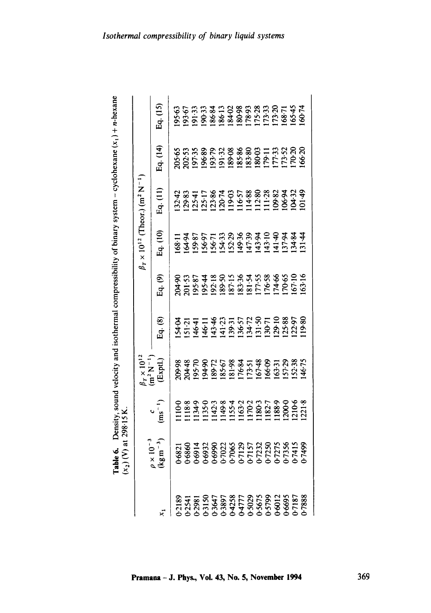| <b>Le 6.</b> Density, sound velocity and isothermal compressibility of binary system – cyclohexane $(x_1) + n$ -he |                                                                    |
|--------------------------------------------------------------------------------------------------------------------|--------------------------------------------------------------------|
|                                                                                                                    |                                                                    |
|                                                                                                                    |                                                                    |
| יצו בשניי.<br>ול<br>ہے<br>ا                                                                                        | i<br>Santa Caraca (1980)<br>Santa Caraca (1980)<br>$\ddot{\bm{z}}$ |

|                                                                                                                                                                                                                                                                                                                              |                                                          |                            |                                             |                |                                                                                                                        | $\beta_T \times 10^{12}$ (Theor.) (m <sup>2</sup> N <sup>-1</sup>            |                                   |          |          |
|------------------------------------------------------------------------------------------------------------------------------------------------------------------------------------------------------------------------------------------------------------------------------------------------------------------------------|----------------------------------------------------------|----------------------------|---------------------------------------------|----------------|------------------------------------------------------------------------------------------------------------------------|------------------------------------------------------------------------------|-----------------------------------|----------|----------|
|                                                                                                                                                                                                                                                                                                                              | $\frac{1}{2}$ x 10 <sup>-3</sup><br>kg m <sup>-3</sup> ) | $\frac{c}{\text{ms}^{-1}}$ | $\frac{1}{n^2}$ N <sup>-1</sup><br>(Exptl.) | $\Xi$ q. $(8)$ | $\frac{6}{5}$                                                                                                          | Eq. (10)                                                                     | Eq. (11)                          | Eq. (14) | 2q. (15) |
| $\frac{1}{12189}$<br>$\frac{1}{2189}$<br>$\frac{1}{2189}$<br>$\frac{1}{2189}$<br>$\frac{1}{2189}$<br>$\frac{1}{2189}$<br>$\frac{1}{2189}$<br>$\frac{1}{2189}$<br>$\frac{1}{2189}$<br>$\frac{1}{2189}$<br>$\frac{1}{2189}$<br>$\frac{1}{2189}$<br>$\frac{1}{2189}$<br>$\frac{1}{2189}$<br>$\frac{1}{2189}$<br>$\frac{1}{2189$ |                                                          |                            |                                             |                |                                                                                                                        |                                                                              |                                   |          |          |
|                                                                                                                                                                                                                                                                                                                              |                                                          |                            |                                             |                |                                                                                                                        |                                                                              |                                   |          |          |
|                                                                                                                                                                                                                                                                                                                              |                                                          |                            |                                             |                |                                                                                                                        |                                                                              |                                   |          |          |
|                                                                                                                                                                                                                                                                                                                              |                                                          |                            |                                             |                |                                                                                                                        |                                                                              |                                   |          |          |
|                                                                                                                                                                                                                                                                                                                              |                                                          |                            |                                             |                |                                                                                                                        |                                                                              |                                   |          |          |
|                                                                                                                                                                                                                                                                                                                              |                                                          |                            |                                             |                |                                                                                                                        |                                                                              |                                   |          |          |
|                                                                                                                                                                                                                                                                                                                              |                                                          |                            |                                             |                |                                                                                                                        |                                                                              |                                   |          |          |
|                                                                                                                                                                                                                                                                                                                              |                                                          |                            |                                             |                |                                                                                                                        |                                                                              |                                   |          |          |
|                                                                                                                                                                                                                                                                                                                              |                                                          |                            |                                             |                |                                                                                                                        |                                                                              |                                   |          |          |
|                                                                                                                                                                                                                                                                                                                              |                                                          |                            |                                             |                |                                                                                                                        |                                                                              |                                   |          |          |
|                                                                                                                                                                                                                                                                                                                              |                                                          |                            |                                             |                |                                                                                                                        |                                                                              |                                   |          |          |
|                                                                                                                                                                                                                                                                                                                              |                                                          |                            |                                             |                |                                                                                                                        |                                                                              |                                   |          |          |
|                                                                                                                                                                                                                                                                                                                              |                                                          |                            |                                             |                |                                                                                                                        |                                                                              |                                   |          |          |
|                                                                                                                                                                                                                                                                                                                              |                                                          |                            |                                             |                | 90<br>1915 1926 1936 1937 1938 1939<br>1938 1939 1938 1939 1930 1930 1930 1930 1930 1931 1932 1933 1934 1935 1936 1936 | 11<br>1985 - 1988 883 993 993<br>1985 - 1988 893 994<br>1985 993 994 995 994 | なといいですので、<br>ないとことには、<br>ないとことには、 |          |          |
|                                                                                                                                                                                                                                                                                                                              |                                                          |                            |                                             |                |                                                                                                                        |                                                                              |                                   |          |          |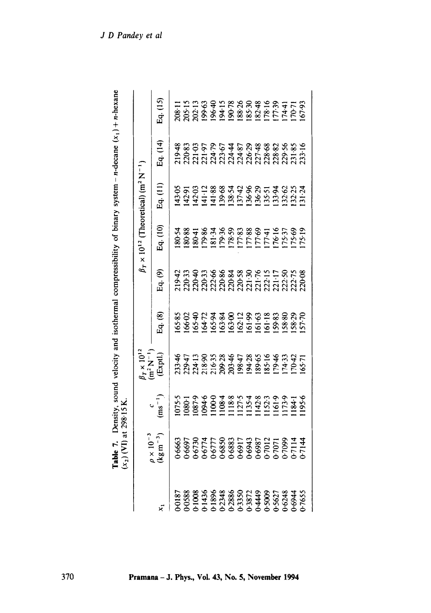| de 7. Density, sound velocity and isothermal compressibility of binary system - n-decane $(x_1) + n \cdot b^c$ |                                 |
|----------------------------------------------------------------------------------------------------------------|---------------------------------|
|                                                                                                                |                                 |
|                                                                                                                |                                 |
|                                                                                                                |                                 |
|                                                                                                                |                                 |
|                                                                                                                |                                 |
|                                                                                                                | $\sqrt{N}$ ) at 200.15          |
|                                                                                                                | $-270$ to $-10$ the $\sqrt{10}$ |

|                                                                                                                                                                                                                                                                                                                                                      |                                               |                                               | $\int_T \times 10^{12}$<br>m <sup>2</sup> N <sup>-1</sup> |                                                                                                            |                                                |          | $\beta_T \times 10^{12}$ (Theoretical) (m <sup>2</sup> N <sup>-1</sup> ) |            |          |
|------------------------------------------------------------------------------------------------------------------------------------------------------------------------------------------------------------------------------------------------------------------------------------------------------------------------------------------------------|-----------------------------------------------|-----------------------------------------------|-----------------------------------------------------------|------------------------------------------------------------------------------------------------------------|------------------------------------------------|----------|--------------------------------------------------------------------------|------------|----------|
|                                                                                                                                                                                                                                                                                                                                                      | $\rho \times 10^{-3}$<br>(kgm <sup>-3</sup> ) | $\begin{pmatrix} 1 \ \cos^{-1} \end{pmatrix}$ |                                                           | Eq. (8)                                                                                                    | Eq. (9)                                        | Eq. (10) | Eq. (11)                                                                 | Eq. $(14)$ | Eq. (15) |
| $\frac{3}{1}$<br>$\frac{1}{2}$<br>$\frac{1}{2}$<br>$\frac{1}{2}$<br>$\frac{1}{2}$<br>$\frac{1}{2}$<br>$\frac{1}{2}$<br>$\frac{1}{2}$<br>$\frac{1}{2}$<br>$\frac{1}{2}$<br>$\frac{1}{2}$<br>$\frac{1}{2}$<br>$\frac{1}{2}$<br>$\frac{1}{2}$<br>$\frac{1}{2}$<br>$\frac{1}{2}$<br>$\frac{1}{2}$<br>$\frac{1}{2}$<br>$\frac{1}{2}$<br>$\frac{1}{2}$<br> |                                               |                                               |                                                           |                                                                                                            |                                                |          |                                                                          |            |          |
|                                                                                                                                                                                                                                                                                                                                                      |                                               |                                               |                                                           |                                                                                                            |                                                |          |                                                                          |            |          |
|                                                                                                                                                                                                                                                                                                                                                      |                                               |                                               |                                                           | 85<br>1969 1979 1979 1980 1980<br>1979 1980 1980 1980 1980 1980 1981 1982 1983 1984 1985 1986 1980 1981 19 | $9999988888955755858$<br>$9999998888957575859$ |          | 9 5 9 9 3 8 8 5 9 8 9 5 5 6 9 9 9<br>9 9 9 9 9 8 9 5 9 8 9 9 9 9 9 9     |            |          |
|                                                                                                                                                                                                                                                                                                                                                      |                                               |                                               |                                                           |                                                                                                            |                                                |          |                                                                          |            |          |
|                                                                                                                                                                                                                                                                                                                                                      |                                               |                                               |                                                           |                                                                                                            |                                                |          |                                                                          |            |          |
|                                                                                                                                                                                                                                                                                                                                                      |                                               |                                               |                                                           |                                                                                                            |                                                |          |                                                                          |            |          |
|                                                                                                                                                                                                                                                                                                                                                      |                                               |                                               |                                                           |                                                                                                            |                                                |          |                                                                          |            |          |
|                                                                                                                                                                                                                                                                                                                                                      |                                               |                                               |                                                           |                                                                                                            |                                                |          |                                                                          |            |          |
|                                                                                                                                                                                                                                                                                                                                                      |                                               |                                               |                                                           |                                                                                                            |                                                |          |                                                                          |            |          |
|                                                                                                                                                                                                                                                                                                                                                      |                                               |                                               |                                                           |                                                                                                            |                                                |          |                                                                          |            |          |
|                                                                                                                                                                                                                                                                                                                                                      |                                               |                                               |                                                           |                                                                                                            |                                                |          |                                                                          |            |          |
|                                                                                                                                                                                                                                                                                                                                                      |                                               |                                               |                                                           |                                                                                                            |                                                |          |                                                                          |            |          |
|                                                                                                                                                                                                                                                                                                                                                      |                                               |                                               |                                                           |                                                                                                            |                                                |          |                                                                          |            |          |
|                                                                                                                                                                                                                                                                                                                                                      |                                               |                                               |                                                           |                                                                                                            |                                                |          |                                                                          |            |          |
|                                                                                                                                                                                                                                                                                                                                                      |                                               |                                               |                                                           |                                                                                                            |                                                |          |                                                                          |            |          |
|                                                                                                                                                                                                                                                                                                                                                      |                                               |                                               |                                                           |                                                                                                            |                                                |          |                                                                          |            |          |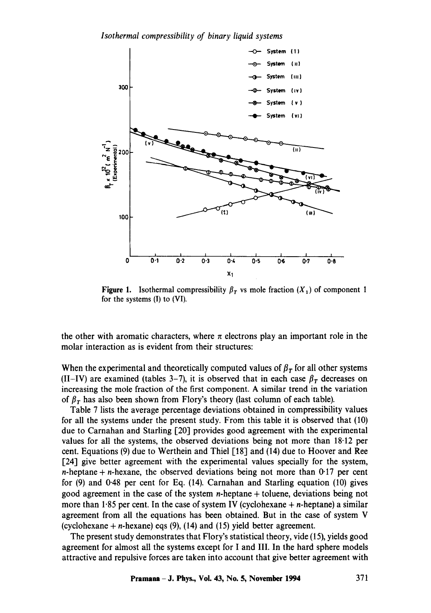*Isothermal compressibility of binary liquid systems* 



**Figure 1.** Isothermal compressibility  $\beta_T$  vs mole fraction  $(X_1)$  of component 1 for the systems (I) to (VI).

the other with aromatic characters, where  $\pi$  electrons play an important role in the molar interaction as is evident from their structures:

When the experimental and theoretically computed values of  $\beta<sub>T</sub>$  for all other systems (II-IV) are examined (tables 3-7), it is observed that in each case  $\beta_T$  decreases on increasing the mole fraction of the first component. A similar trend in the variation of  $\beta_T$  has also been shown from Flory's theory (last column of each table).

Table 7 lists the average percentage deviations obtained in compressibility values for all the systems under the present study. From this table it is observed that (10) due to Carnahan and Starling [20] provides good agreement with the experimental values for all the systems, the observed deviations being not more than 18-12 per cent. Equations (9) due to Werthein and Thiel  $\lceil 18 \rceil$  and (14) due to Hoover and Ree [24] give better agreement with the experimental values specially for the system, n-heptane + n-hexane, the observed deviations being not more than  $0.17$  per cent for (9) and 0.48 per cent for Eq. (14). Carnahan and Starling equation (10) gives good agreement in the case of the system  $n$ -heptane  $+$  toluene, deviations being not more than  $1.85$  per cent. In the case of system IV (cyclohexane  $+ n$ -heptane) a similar agreement from all the equations has been obtained. But in the case of system V (cyclohexane  $+ n$ -hexane) eqs (9), (14) and (15) yield better agreement.

The present study demonstrates that Flory's statistical theory, vide (15), yields good agreement for almost all the systems except for I and III. In the hard sphere models attractive and repulsive forces are taken into account that give better agreement with